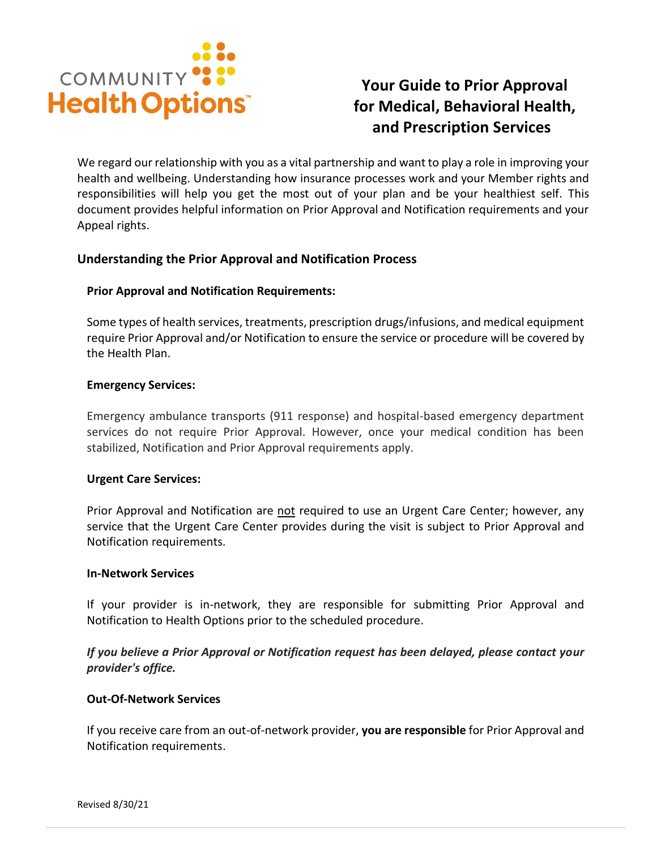

# **Your Guide to Prior Approval for Medical, Behavioral Health, and Prescription Services**

We regard our relationship with you as a vital partnership and want to play a role in improving your health and wellbeing. Understanding how insurance processes work and your Member rights and responsibilities will help you get the most out of your plan and be your healthiest self. This document provides helpful information on Prior Approval and Notification requirements and your Appeal rights.

## **Understanding the Prior Approval and Notification Process**

### **Prior Approval and Notification Requirements:**

Some types of health services, treatments, prescription drugs/infusions, and medical equipment require Prior Approval and/or Notification to ensure the service or procedure will be covered by the Health Plan.

### **Emergency Services:**

Emergency ambulance transports (911 response) and hospital-based emergency department services do not require Prior Approval. However, once your medical condition has been stabilized, Notification and Prior Approval requirements apply.

### **Urgent Care Services:**

Prior Approval and Notification are not required to use an Urgent Care Center; however, any service that the Urgent Care Center provides during the visit is subject to Prior Approval and Notification requirements.

### **In-Network Services**

If your provider is in-network, they are responsible for submitting Prior Approval and Notification to Health Options prior to the scheduled procedure.

*If you believe a Prior Approval or Notification request has been delayed, please contact your provider's office.*

### **Out-Of-Network Services**

If you receive care from an out-of-network provider, **you are responsible** for Prior Approval and Notification requirements.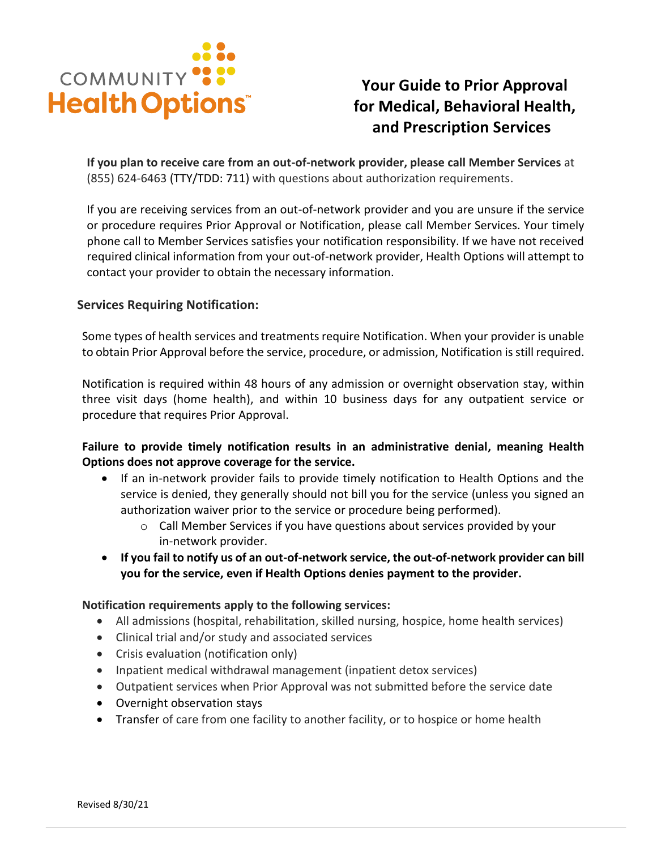

# **Your Guide to Prior Approval for Medical, Behavioral Health, and Prescription Services**

**If you plan to receive care from an out-of-network provider, please call Member Services** at (855) 624-6463 (TTY/TDD: 711) with questions about authorization requirements.

If you are receiving services from an out-of-network provider and you are unsure if the service or procedure requires Prior Approval or Notification, please call Member Services. Your timely phone call to Member Services satisfies your notification responsibility. If we have not received required clinical information from your out-of-network provider, Health Options will attempt to contact your provider to obtain the necessary information.

## **Services Requiring Notification:**

Some types of health services and treatments require Notification. When your provider is unable to obtain Prior Approval before the service, procedure, or admission, Notification is still required.

Notification is required within 48 hours of any admission or overnight observation stay, within three visit days (home health), and within 10 business days for any outpatient service or procedure that requires Prior Approval.

**Failure to provide timely notification results in an administrative denial, meaning Health Options does not approve coverage for the service.** 

- If an in-network provider fails to provide timely notification to Health Options and the service is denied, they generally should not bill you for the service (unless you signed an authorization waiver prior to the service or procedure being performed).
	- $\circ$  Call Member Services if you have questions about services provided by your in-network provider.
- **If you fail to notify us of an out-of-network service, the out-of-network provider can bill you for the service, even if Health Options denies payment to the provider.**

### **Notification requirements apply to the following services:**

- All admissions (hospital, rehabilitation, skilled nursing, hospice, home health services)
- Clinical trial and/or study and associated services
- Crisis evaluation (notification only)
- Inpatient medical withdrawal management (inpatient detox services)
- Outpatient services when Prior Approval was not submitted before the service date
- Overnight observation stays
- Transfer of care from one facility to another facility, or to hospice or home health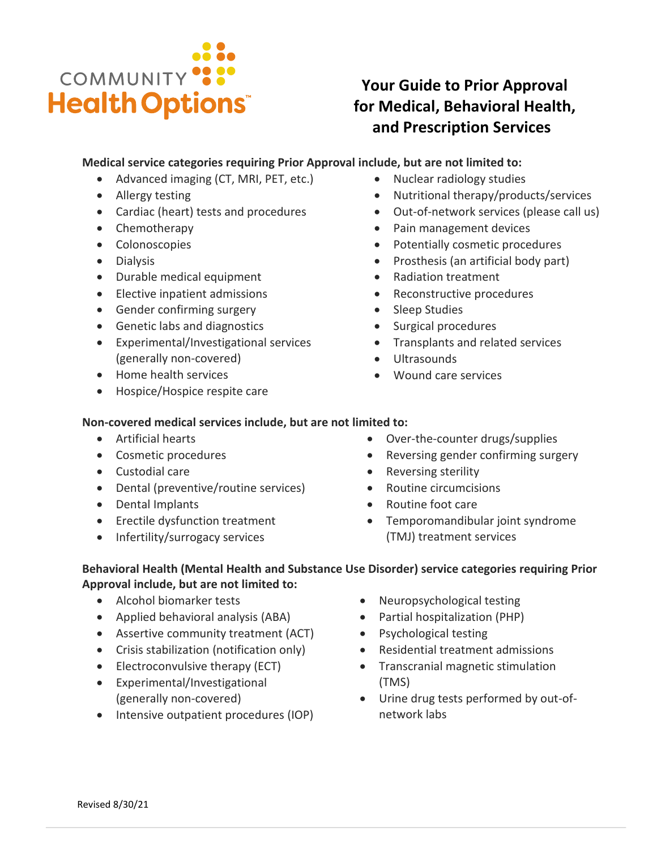

# **Your Guide to Prior Approval for Medical, Behavioral Health, and Prescription Services**

## **Medical service categories requiring Prior Approval include, but are not limited to:**

- Advanced imaging (CT, MRI, PET, etc.)
- Allergy testing
- Cardiac (heart) tests and procedures
- Chemotherapy
- Colonoscopies
- Dialysis
- Durable medical equipment
- Elective inpatient admissions
- Gender confirming surgery
- Genetic labs and diagnostics
- Experimental/Investigational services (generally non-covered)
- Home health services
- Hospice/Hospice respite care
- Nuclear radiology studies
- Nutritional therapy/products/services
- Out-of-network services (please call us)
- Pain management devices
- Potentially cosmetic procedures
- Prosthesis (an artificial body part)
- Radiation treatment
- Reconstructive procedures
- Sleep Studies
- Surgical procedures
- Transplants and related services
- Ultrasounds
- Wound care services

## **Non-covered medical services include, but are not limited to:**

- Artificial hearts
- Cosmetic procedures
- Custodial care
- Dental (preventive/routine services)
- Dental Implants
- Erectile dysfunction treatment
- Infertility/surrogacy services
- Over-the-counter drugs/supplies
- Reversing gender confirming surgery
- Reversing sterility
- Routine circumcisions
- Routine foot care
- Temporomandibular joint syndrome (TMJ) treatment services

# **Behavioral Health (Mental Health and Substance Use Disorder) service categories requiring Prior Approval include, but are not limited to:**

- Alcohol biomarker tests
- Applied behavioral analysis (ABA)
- Assertive community treatment (ACT)
- Crisis stabilization (notification only)
- Electroconvulsive therapy (ECT)
- Experimental/Investigational (generally non-covered)
- Intensive outpatient procedures (IOP)
- Neuropsychological testing
- Partial hospitalization (PHP)
- Psychological testing
- Residential treatment admissions
- Transcranial magnetic stimulation (TMS)
- Urine drug tests performed by out-ofnetwork labs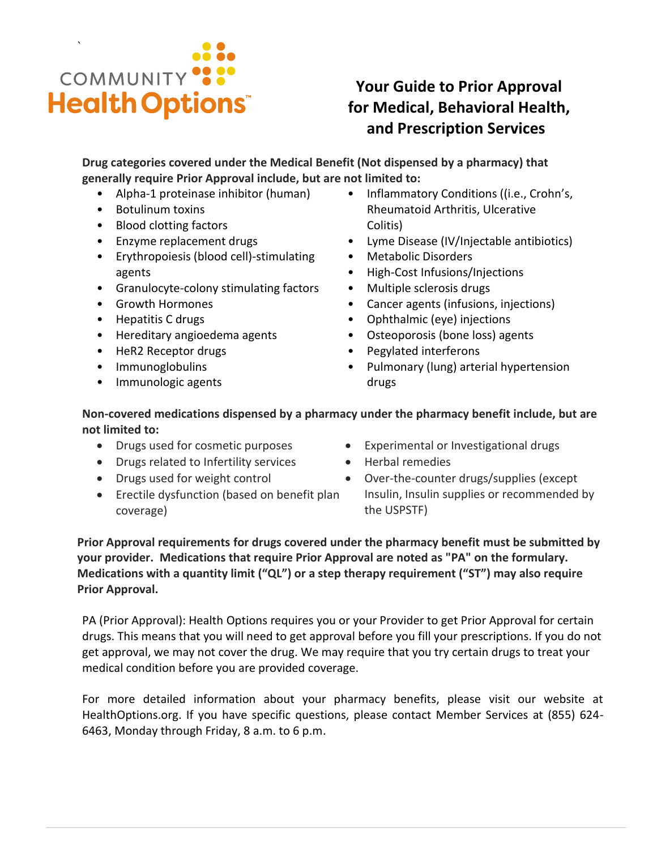

# **Your Guide to Prior Approval for Medical, Behavioral Health, and Prescription Services**

**Drug categories covered under the Medical Benefit (Not dispensed by a pharmacy) that generally require Prior Approval include, but are not limited to:**

- Alpha-1 proteinase inhibitor (human)
- Botulinum toxins
- Blood clotting factors
- Enzyme replacement drugs
- Erythropoiesis (blood cell)-stimulating agents
- Granulocyte-colony stimulating factors
- Growth Hormones
- Hepatitis C drugs
- Hereditary angioedema agents
- HeR2 Receptor drugs
- Immunoglobulins
- Immunologic agents
- Inflammatory Conditions ((i.e., Crohn's, Rheumatoid Arthritis, Ulcerative Colitis)
- Lyme Disease (IV/Injectable antibiotics)
- Metabolic Disorders
- High-Cost Infusions/Injections
- Multiple sclerosis drugs
- Cancer agents (infusions, injections)
- Ophthalmic (eye) injections
- Osteoporosis (bone loss) agents
- Pegylated interferons
- Pulmonary (lung) arterial hypertension drugs

# **Non-covered medications dispensed by a pharmacy under the pharmacy benefit include, but are not limited to:**

- Drugs used for cosmetic purposes
- Drugs related to Infertility services
- Drugs used for weight control
- Erectile dysfunction (based on benefit plan coverage)
- Experimental or Investigational drugs
- Herbal remedies
- Over-the-counter drugs/supplies (except Insulin, Insulin supplies or recommended by the USPSTF)

**Prior Approval requirements for drugs covered under the pharmacy benefit must be submitted by your provider. Medications that require Prior Approval are noted as "PA" on the formulary. Medications with a quantity limit ("QL") or a step therapy requirement ("ST") may also require Prior Approval.**

PA (Prior Approval): Health Options requires you or your Provider to get Prior Approval for certain drugs. This means that you will need to get approval before you fill your prescriptions. If you do not get approval, we may not cover the drug. We may require that you try certain drugs to treat your medical condition before you are provided coverage.

For more detailed information about your pharmacy benefits, please visit our website at HealthOptions.org. If you have specific questions, please contact Member Services at (855) 624- 6463, Monday through Friday, 8 a.m. to 6 p.m.